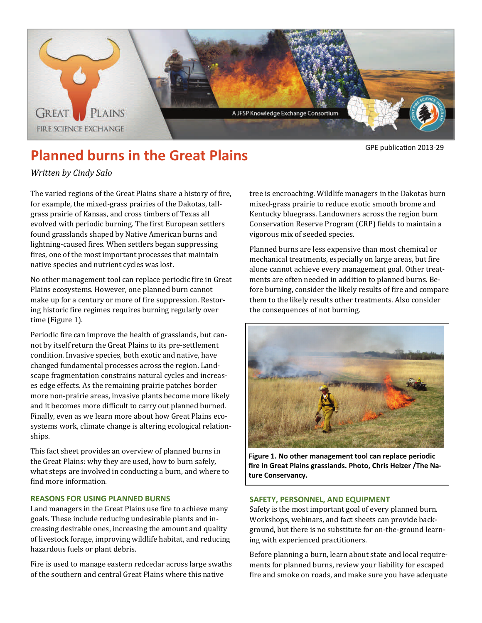

# **Planned burns in the Great Plains CDPE publication 2013-29**

# *Written by Cindy Salo*

The varied regions of the Great Plains share a history of fire, for example, the mixed-grass prairies of the Dakotas, tallgrass prairie of Kansas, and cross timbers of Texas all evolved with periodic burning. The first European settlers found grasslands shaped by Native American burns and lightning-caused fires. When settlers began suppressing fires, one of the most important processes that maintain native species and nutrient cycles was lost.

No other management tool can replace periodic fire in Great Plains ecosystems. However, one planned burn cannot make up for a century or more of fire suppression. Restoring historic fire regimes requires burning regularly over time (Figure 1).

Periodic fire can improve the health of grasslands, but cannot by itself return the Great Plains to its pre-settlement condition. Invasive species, both exotic and native, have changed fundamental processes across the region. Landscape fragmentation constrains natural cycles and increases edge effects. As the remaining prairie patches border more non-prairie areas, invasive plants become more likely and it becomes more difficult to carry out planned burned. Finally, even as we learn more about how Great Plains ecosystems work, climate change is altering ecological relationships. 

This fact sheet provides an overview of planned burns in the Great Plains: why they are used, how to burn safely, what steps are involved in conducting a burn, and where to find more information.

# **REASONS FOR USING PLANNED BURNS**

Land managers in the Great Plains use fire to achieve many goals. These include reducing undesirable plants and increasing desirable ones, increasing the amount and quality of livestock forage, improving wildlife habitat, and reducing hazardous fuels or plant debris.

Fire is used to manage eastern redcedar across large swaths of the southern and central Great Plains where this native

tree is encroaching. Wildlife managers in the Dakotas burn mixed-grass prairie to reduce exotic smooth brome and Kentucky bluegrass. Landowners across the region burn Conservation Reserve Program (CRP) fields to maintain a vigorous mix of seeded species.

Planned burns are less expensive than most chemical or mechanical treatments, especially on large areas, but fire alone cannot achieve every management goal. Other treatments are often needed in addition to planned burns. Before burning, consider the likely results of fire and compare them to the likely results other treatments. Also consider the consequences of not burning.



**Figure 1. No other management tool can replace periodic fire in Great Plains grasslands. Photo, Chris Helzer /The Na‐ ture Conservancy.**

# **SAFETY, PERSONNEL, AND EQUIPMENT**

Safety is the most important goal of every planned burn. Workshops, webinars, and fact sheets can provide background, but there is no substitute for on-the-ground learning with experienced practitioners.

Before planning a burn, learn about state and local requirements for planned burns, review your liability for escaped fire and smoke on roads, and make sure you have adequate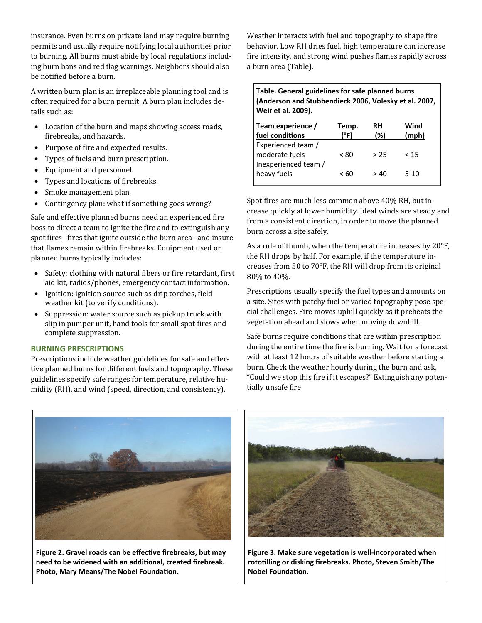insurance. Even burns on private land may require burning permits and usually require notifying local authorities prior to burning. All burns must abide by local regulations including burn bans and red flag warnings. Neighbors should also be notified before a burn.

A written burn plan is an irreplaceable planning tool and is often required for a burn permit. A burn plan includes details such as:

- Location of the burn and maps showing access roads, firebreaks, and hazards.
- Purpose of fire and expected results.
- Types of fuels and burn prescription.
- Equipment and personnel.
- Types and locations of firebreaks.
- Smoke management plan.
- Contingency plan: what if something goes wrong?

Safe and effective planned burns need an experienced fire boss to direct a team to ignite the fire and to extinguish any spot fires--fires that ignite outside the burn area--and insure that flames remain within firebreaks. Equipment used on planned burns typically includes:

- Safety: clothing with natural fibers or fire retardant, first aid kit, radios/phones, emergency contact information.
- Ignition: ignition source such as drip torches, field weather kit (to verify conditions).
- Suppression: water source such as pickup truck with slip in pumper unit, hand tools for small spot fires and complete suppression.

# **BURNING PRESCRIPTIONS**

Prescriptions include weather guidelines for safe and effective planned burns for different fuels and topography. These guidelines specify safe ranges for temperature, relative humidity (RH), and wind (speed, direction, and consistency).

Weather interacts with fuel and topography to shape fire behavior. Low RH dries fuel, high temperature can increase fire intensity, and strong wind pushes flames rapidly across a burn area (Table).

**Table. General guidelines for safe planned burns (Anderson and Stubbendieck 2006, Volesky et al. 2007, Weir et al. 2009).** 

| Team experience /<br>fuel conditions                         | Temp.<br>(°F) | <b>RH</b><br>(%) | Wind<br>(mph) |
|--------------------------------------------------------------|---------------|------------------|---------------|
| Experienced team /<br>moderate fuels<br>Inexperienced team / | < 80          | > 25             | < 15          |
| heavy fuels                                                  | < 60          | >40              | $5-10$        |

Spot fires are much less common above 40% RH, but increase quickly at lower humidity. Ideal winds are steady and from a consistent direction, in order to move the planned burn across a site safely.

As a rule of thumb, when the temperature increases by  $20^{\circ}F$ , the RH drops by half. For example, if the temperature increases from  $50$  to  $70^{\circ}$ F, the RH will drop from its original 80% to 40%.

Prescriptions usually specify the fuel types and amounts on a site. Sites with patchy fuel or varied topography pose special challenges. Fire moves uphill quickly as it preheats the vegetation ahead and slows when moving downhill.

Safe burns require conditions that are within prescription during the entire time the fire is burning. Wait for a forecast with at least 12 hours of suitable weather before starting a burn. Check the weather hourly during the burn and ask, "Could we stop this fire if it escapes?" Extinguish any potentially unsafe fire.



**Figure 2. Gravel roads can be effecƟve firebreaks, but may need to be widened with an addiƟonal, created firebreak. Photo, Mary Means/The Nobel Foundation.** 



**Figure 3. Make sure vegetaƟon is well‐incorporated when rotoƟlling or disking firebreaks. Photo, Steven Smith/The Nobel FoundaƟon.**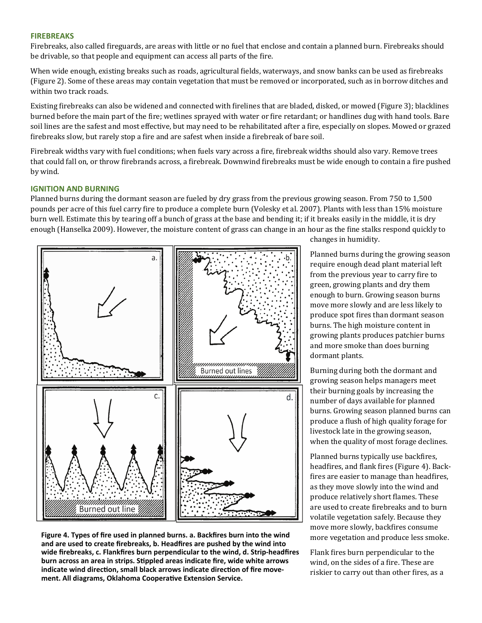# **FIREBREAKS**

Firebreaks, also called fireguards, are areas with little or no fuel that enclose and contain a planned burn. Firebreaks should be drivable, so that people and equipment can access all parts of the fire.

When wide enough, existing breaks such as roads, agricultural fields, waterways, and snow banks can be used as firebreaks (Figure 2). Some of these areas may contain vegetation that must be removed or incorporated, such as in borrow ditches and within two track roads.

Existing firebreaks can also be widened and connected with firelines that are bladed, disked, or mowed (Figure 3); blacklines burned before the main part of the fire; wetlines sprayed with water or fire retardant; or handlines dug with hand tools. Bare soil lines are the safest and most effective, but may need to be rehabilitated after a fire, especially on slopes. Mowed or grazed firebreaks slow, but rarely stop a fire and are safest when inside a firebreak of bare soil.

Firebreak widths vary with fuel conditions; when fuels vary across a fire, firebreak widths should also vary. Remove trees that could fall on, or throw firebrands across, a firebreak. Downwind firebreaks must be wide enough to contain a fire pushed by wind.

#### **IGNITION AND BURNING**

Planned burns during the dormant season are fueled by dry grass from the previous growing season. From 750 to 1,500 pounds per acre of this fuel carry fire to produce a complete burn (Volesky et al. 2007). Plants with less than 15% moisture burn well. Estimate this by tearing off a bunch of grass at the base and bending it; if it breaks easily in the middle, it is dry enough (Hanselka 2009). However, the moisture content of grass can change in an hour as the fine stalks respond quickly to



**Figure 4. Types of fire used in planned burns. a. Backfires burn into the wind and are used to create firebreaks, b. Headfires are pushed by the wind into wide firebreaks, c. Flankfires burn perpendicular to the wind, d. Strip‐headfires burn across an area in strips. SƟppled areas indicate fire, wide white arrows indicate** wind direction, small black arrows indicate direction of fire move**ment. All diagrams, Oklahoma CooperaƟve Extension Service.**

changes in humidity.

Planned burns during the growing season require enough dead plant material left from the previous year to carry fire to green, growing plants and dry them enough to burn. Growing season burns move more slowly and are less likely to produce spot fires than dormant season burns. The high moisture content in growing plants produces patchier burns and more smoke than does burning dormant plants.

Burning during both the dormant and growing season helps managers meet their burning goals by increasing the number of days available for planned burns. Growing season planned burns can produce a flush of high quality forage for livestock late in the growing season, when the quality of most forage declines.

Planned burns typically use backfires, headfires, and flank fires (Figure 4). Backfires are easier to manage than headfires, as they move slowly into the wind and produce relatively short flames. These are used to create firebreaks and to burn volatile vegetation safely. Because they move more slowly, backfires consume more vegetation and produce less smoke.

Flank fires burn perpendicular to the wind, on the sides of a fire. These are riskier to carry out than other fires, as a